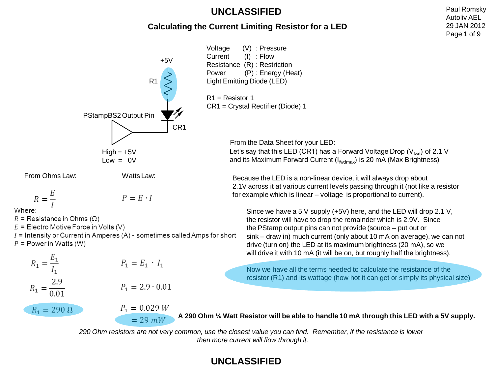#### **Calculating the Current Limiting Resistor for a LED**

Voltage (V) : Pressure Current (I) : Flow  $+5V$ Resistance (R) : Restriction Power (P) : Energy (Heat) R1 Light Emitting Diode (LED) R1 = Resistor 1 CR1 = Crystal Rectifier (Diode) 1 PStampBS2 Output Pin CR1 From the Data Sheet for your LED: Let's say that this LED (CR1) has a Forward Voltage Drop ( $V_{\text{fwd}}$ ) of 2.1 V  $High = +5V$ and its Maximum Forward Current  $(I_{fwdmax})$  is 20 mA (Max Brightness)  $Low = 0V$ From Ohms Law: Watts Law: Because the LED is a non-linear device, it will always drop about 2.1V across it at various current levels passing through it (not like a resistor  $R = \frac{E}{I}$ for example which is linear – voltage is proportional to current).  $P = E \cdot I$ Where: Since we have a 5 V supply (+5V) here, and the LED will drop 2.1 V,  $R =$  Resistance in Ohms ( $\Omega$ ) the resistor will have to drop the remainder which is 2.9V. Since  $E =$  Electro Motive Force in Volts (V) the PStamp output pins can not provide (source – put out or  $I =$  Intensity or Current in Amperes (A) - sometimes called Amps for short sink – draw in) much current (only about 10 mA on average), we can not  $P = Power$  in Watts (W) drive (turn on) the LED at its maximum brightness (20 mA), so we will drive it with 10 mA (it will be on, but roughly half the brightness).  $R_1 = \frac{E_1}{I_1}$  $P_1 = E_1 \, \cdot \, I_1$ Now we have all the terms needed to calculate the resistance of the resistor (R1) and its wattage (how hot it can get or simply its physical size)  $R_1 = \frac{2.9}{0.01}$  $P_1 = 2.9 \cdot 0.01$  $P_1 = 0.029 W$  $R_1 = 290 \Omega$ **A 290 Ohm ¼ Watt Resistor will be able to handle 10 mA through this LED with a 5V supply.**  $= 29$  mW

> *290 Ohm resistors are not very common, use the closest value you can find. Remember, if the resistance is lower then more current will flow through it.*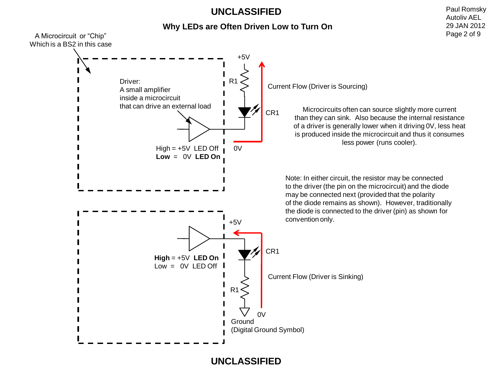#### **Why LEDs are Often Driven Low to Turn On**

Paul Romsky Autoliv AEL

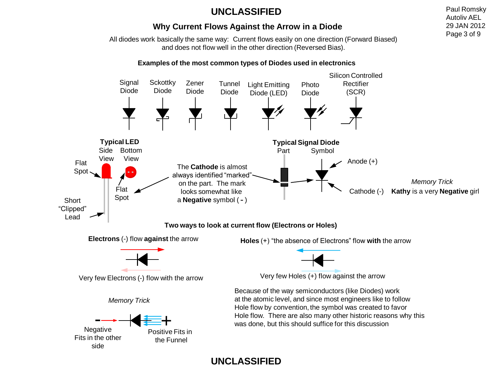#### **Why Current Flows Against the Arrow in a Diode**

All diodes work basically the same way: Current flows easily on one direction (Forward Biased) and does not flow well in the other direction (Reversed Bias).

#### **Examples of the most common types of Diodes used in electronics**



## **UNCLASSIFIED**

Paul Romsky Autoliv AEL 29 JAN 2012 Page 3 of 9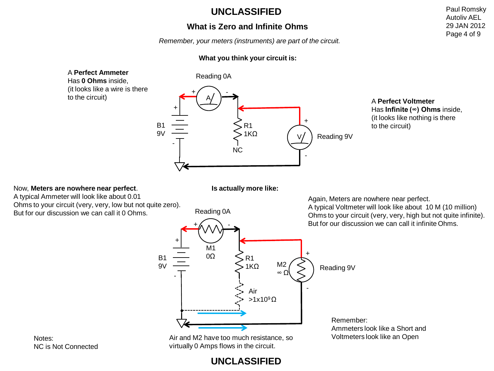#### **What is Zero and Infinite Ohms**

*Remember, your meters (instruments) are part of the circuit.*

#### **What you think your circuit is:**



Paul Romsky Autoliv AEL 29 JAN 2012 Page 4 of 9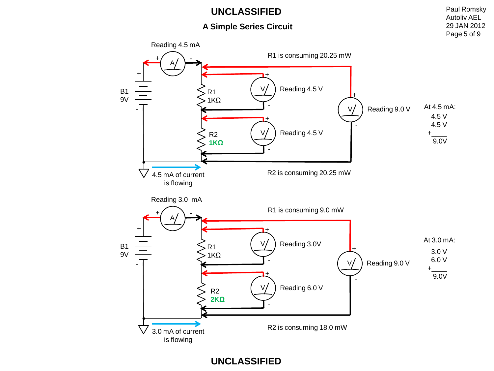#### **A Simple Series Circuit**

Paul Romsky Autoliv AEL 29 JAN 2012 Page 5 of 9

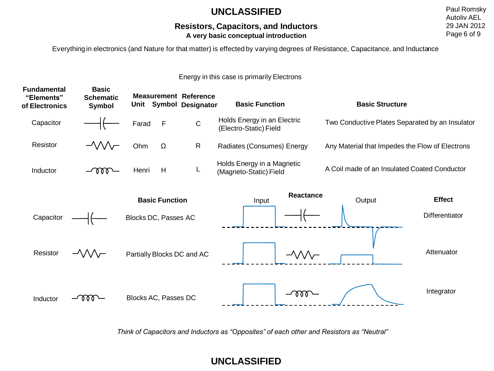#### **Resistors, Capacitors, and Inductors A very basic conceptual introduction**

Paul Romsky Autoliv AEL 29 JAN 2012 Page 6 of 9

Everything in electronics (and Nature for that matter) is effected by varying degrees of Resistance, Capacitance, and Inductance

#### Energy in this case is primarily Electrons

| <b>Fundamental</b><br>"Elements"<br>of Electronics | <b>Basic</b><br><b>Schematic</b><br>Symbol |                                               |                      | <b>Measurement Reference</b><br>Unit Symbol Designator | <b>Basic Function</b>                                   | <b>Basic Structure</b>                          |                                 |  |
|----------------------------------------------------|--------------------------------------------|-----------------------------------------------|----------------------|--------------------------------------------------------|---------------------------------------------------------|-------------------------------------------------|---------------------------------|--|
| Capacitor                                          |                                            | Farad                                         | $\mathsf F$          | $\mathsf C$                                            | Holds Energy in an Electric<br>(Electro-Static) Field   | Two Conductive Plates Separated by an Insulator |                                 |  |
| Resistor                                           | $-\sqrt{2}$                                | Ohm                                           | $\Omega$             | $\mathsf{R}$                                           | Radiates (Consumes) Energy                              | Any Material that Impedes the Flow of Electrons |                                 |  |
| Inductor                                           | $-1000-$                                   | Henri                                         | H                    | L                                                      | Holds Energy in a Magnetic<br>(Magneto-Static) Field    | A Coil made of an Insulated Coated Conductor    |                                 |  |
| Capacitor                                          |                                            | <b>Basic Function</b><br>Blocks DC, Passes AC |                      |                                                        | <b>Reactance</b><br>Input                               | Output                                          | <b>Effect</b><br>Differentiator |  |
| Resistor                                           | $-\sqrt{2}$                                | Partially Blocks DC and AC                    |                      |                                                        | $-\!\!\!-\!\!\!\!\wedge\!\!\!\wedge\!\!\!\wedge\!\!\!-$ |                                                 | Attenuator                      |  |
| Inductor                                           |                                            |                                               | Blocks AC, Passes DC |                                                        | $-\alpha\alpha$                                         |                                                 | Integrator                      |  |

*Think of Capacitors and Inductors as "Opposites" of each other and Resistors as "Neutral"*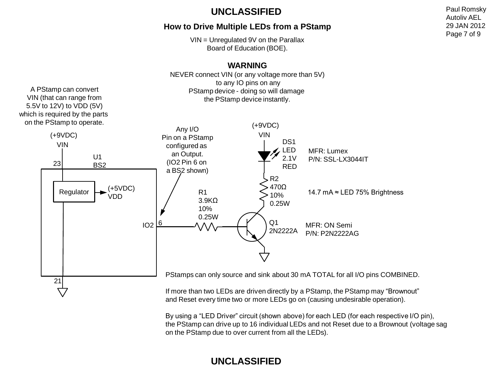#### **How to Drive Multiple LEDs from a PStamp**

VIN = Unregulated 9V on the Parallax Board of Education (BOE).

#### Q1 2N2222A R2 470Ω 10% 0.25W VIN **WARNING** NEVER connect VIN (or any voltage more than 5V) to any IO pins on any PStamp device - doing so will damage the PStamp device instantly. (+9VDC) R1 3.9KΩ 10% 0.25W D<sub>S1</sub> LED 2.1V RED Any I/O Pin on a PStamp configured as an Output. (IO2 Pin 6 on a BS2 shown)  $IO2$   $6$ U1 BS2 14.7 mA ≈ LED 75% Brightness VIN (+9VDC) 23 21  $Regulator$  (+5VDC) VDD A PStamp can convert VIN (that can range from 5.5V to 12V) to VDD (5V) which is required by the parts on the PStamp to operate. PStamps can only source and sink about 30 mA TOTAL for all I/O pins COMBINED. If more than two LEDs are driven directly by a PStamp, the PStamp may "Brownout" MFR: ON Semi P/N: P2N2222AG MFR: Lumex P/N: SSL-LX3044IT

By using a "LED Driver" circuit (shown above) for each LED (for each respective I/O pin), the PStamp can drive up to 16 individual LEDs and not Reset due to a Brownout (voltage sag on the PStamp due to over current from all the LEDs).

and Reset every time two or more LEDs go on (causing undesirable operation).

# **UNCLASSIFIED**

Paul Romsky Autoliv AEL 29 JAN 2012 Page 7 of 9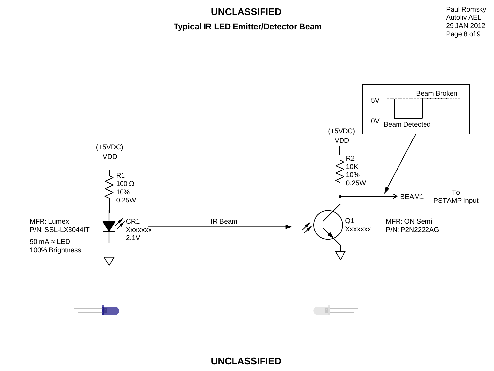#### **Typical IR LED Emitter/Detector Beam**

Paul Romsky Autoliv AEL 29 JAN 2012 Page 8 of 9